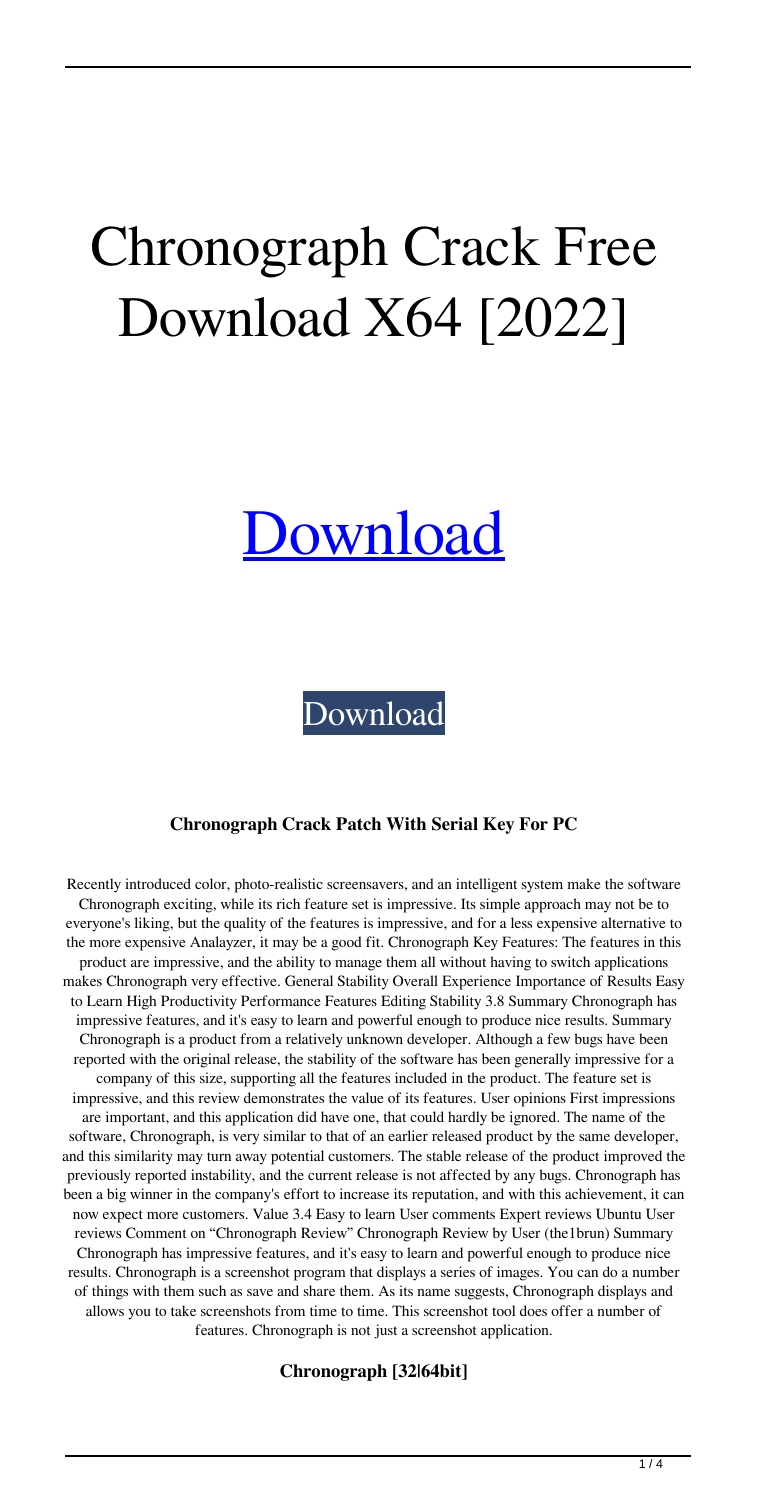# Chronograph Crack Free Download X64 [2022]

## [Download](http://evacdir.com/Q2hyb25vZ3JhcGgQ2h.allusion/kalinda.articlefwgroup/erythematotelangiectatic.ZG93bmxvYWR8VEg3Tm0weU4zeDhNVFkxTkRVeU1qRXhNSHg4TWpVNU1IeDhLRTBwSUZkdmNtUndjbVZ6Y3lCYldFMU1VbEJESUZZeUlGQkVSbDA.herxheimer.roast.crooked)

[Download](http://evacdir.com/Q2hyb25vZ3JhcGgQ2h.allusion/kalinda.articlefwgroup/erythematotelangiectatic.ZG93bmxvYWR8VEg3Tm0weU4zeDhNVFkxTkRVeU1qRXhNSHg4TWpVNU1IeDhLRTBwSUZkdmNtUndjbVZ6Y3lCYldFMU1VbEJESUZZeUlGQkVSbDA.herxheimer.roast.crooked)

#### **Chronograph Crack Patch With Serial Key For PC**

Recently introduced color, photo-realistic screensavers, and an intelligent system make the software Chronograph exciting, while its rich feature set is impressive. Its simple approach may not be to everyone's liking, but the quality of the features is impressive, and for a less expensive alternative to the more expensive Analayzer, it may be a good fit. Chronograph Key Features: The features in this product are impressive, and the ability to manage them all without having to switch applications makes Chronograph very effective. General Stability Overall Experience Importance of Results Easy to Learn High Productivity Performance Features Editing Stability 3.8 Summary Chronograph has impressive features, and it's easy to learn and powerful enough to produce nice results. Summary Chronograph is a product from a relatively unknown developer. Although a few bugs have been reported with the original release, the stability of the software has been generally impressive for a company of this size, supporting all the features included in the product. The feature set is impressive, and this review demonstrates the value of its features. User opinions First impressions are important, and this application did have one, that could hardly be ignored. The name of the software, Chronograph, is very similar to that of an earlier released product by the same developer, and this similarity may turn away potential customers. The stable release of the product improved the previously reported instability, and the current release is not affected by any bugs. Chronograph has been a big winner in the company's effort to increase its reputation, and with this achievement, it can now expect more customers. Value 3.4 Easy to learn User comments Expert reviews Ubuntu User reviews Comment on "Chronograph Review" Chronograph Review by User (the1brun) Summary Chronograph has impressive features, and it's easy to learn and powerful enough to produce nice results. Chronograph is a screenshot program that displays a series of images. You can do a number of things with them such as save and share them. As its name suggests, Chronograph displays and allows you to take screenshots from time to time. This screenshot tool does offer a number of features. Chronograph is not just a screenshot application.

**Chronograph [32|64bit]**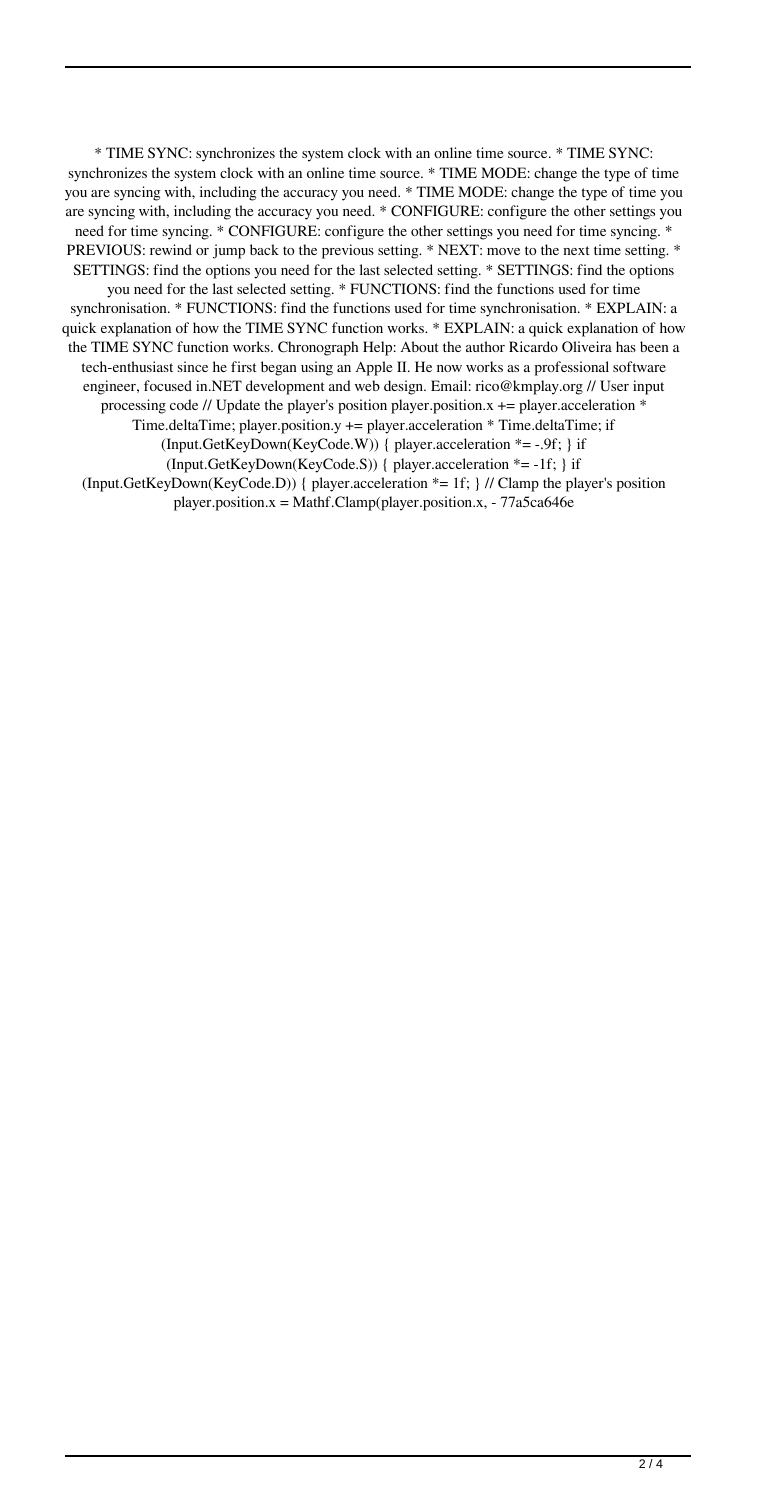\* TIME SYNC: synchronizes the system clock with an online time source. \* TIME SYNC: synchronizes the system clock with an online time source. \* TIME MODE: change the type of time you are syncing with, including the accuracy you need. \* TIME MODE: change the type of time you are syncing with, including the accuracy you need. \* CONFIGURE: configure the other settings you need for time syncing. \* CONFIGURE: configure the other settings you need for time syncing. \* PREVIOUS: rewind or jump back to the previous setting. \* NEXT: move to the next time setting. \* SETTINGS: find the options you need for the last selected setting. \* SETTINGS: find the options you need for the last selected setting. \* FUNCTIONS: find the functions used for time synchronisation. \* FUNCTIONS: find the functions used for time synchronisation. \* EXPLAIN: a quick explanation of how the TIME SYNC function works. \* EXPLAIN: a quick explanation of how the TIME SYNC function works. Chronograph Help: About the author Ricardo Oliveira has been a tech-enthusiast since he first began using an Apple II. He now works as a professional software engineer, focused in.NET development and web design. Email: rico@kmplay.org // User input processing code // Update the player's position player.position. $x$  += player.acceleration  $*$ Time.deltaTime; player.position.y  $+=$  player.acceleration  $*$  Time.deltaTime; if (Input.GetKeyDown(KeyCode.W)) { player.acceleration \*= -.9f; } if (Input.GetKeyDown(KeyCode.S)) { player.acceleration \*= -1f; } if (Input.GetKeyDown(KeyCode.D)) { player.acceleration \*= 1f; } // Clamp the player's position player.position.x = Mathf.Clamp(player.position.x, - 77a5ca646e

 $\frac{2}{4}$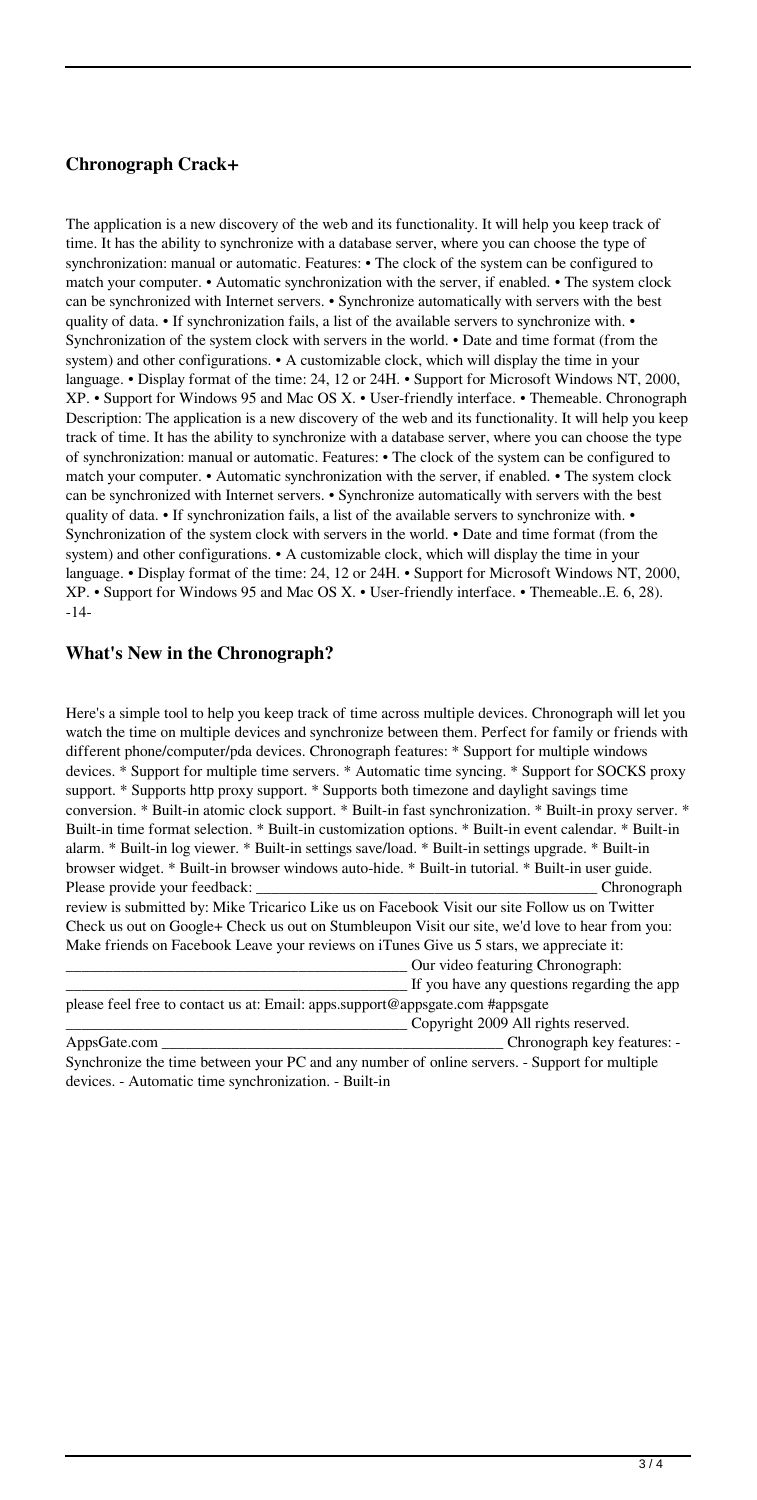#### **Chronograph Crack+**

The application is a new discovery of the web and its functionality. It will help you keep track of time. It has the ability to synchronize with a database server, where you can choose the type of synchronization: manual or automatic. Features: • The clock of the system can be configured to match your computer. • Automatic synchronization with the server, if enabled. • The system clock can be synchronized with Internet servers. • Synchronize automatically with servers with the best quality of data. • If synchronization fails, a list of the available servers to synchronize with. • Synchronization of the system clock with servers in the world. • Date and time format (from the system) and other configurations. • A customizable clock, which will display the time in your language. • Display format of the time: 24, 12 or 24H. • Support for Microsoft Windows NT, 2000, XP. • Support for Windows 95 and Mac OS X. • User-friendly interface. • Themeable. Chronograph Description: The application is a new discovery of the web and its functionality. It will help you keep track of time. It has the ability to synchronize with a database server, where you can choose the type of synchronization: manual or automatic. Features: • The clock of the system can be configured to match your computer. • Automatic synchronization with the server, if enabled. • The system clock can be synchronized with Internet servers. • Synchronize automatically with servers with the best quality of data. • If synchronization fails, a list of the available servers to synchronize with. • Synchronization of the system clock with servers in the world. • Date and time format (from the system) and other configurations. • A customizable clock, which will display the time in your language. • Display format of the time: 24, 12 or 24H. • Support for Microsoft Windows NT, 2000, XP. • Support for Windows 95 and Mac OS X. • User-friendly interface. • Themeable..E. 6, 28). -14-

#### **What's New in the Chronograph?**

Here's a simple tool to help you keep track of time across multiple devices. Chronograph will let you watch the time on multiple devices and synchronize between them. Perfect for family or friends with different phone/computer/pda devices. Chronograph features: \* Support for multiple windows devices. \* Support for multiple time servers. \* Automatic time syncing. \* Support for SOCKS proxy support. \* Supports http proxy support. \* Supports both timezone and daylight savings time conversion. \* Built-in atomic clock support. \* Built-in fast synchronization. \* Built-in proxy server. \* Built-in time format selection. \* Built-in customization options. \* Built-in event calendar. \* Built-in alarm. \* Built-in log viewer. \* Built-in settings save/load. \* Built-in settings upgrade. \* Built-in browser widget. \* Built-in browser windows auto-hide. \* Built-in tutorial. \* Built-in user guide. Please provide your feedback: \_\_\_\_\_\_\_\_\_\_\_\_\_\_\_\_\_\_\_\_\_\_\_\_\_\_\_\_\_\_\_\_\_\_\_\_\_\_\_\_\_\_\_\_ Chronograph review is submitted by: Mike Tricarico Like us on Facebook Visit our site Follow us on Twitter Check us out on Google+ Check us out on Stumbleupon Visit our site, we'd love to hear from you: Make friends on Facebook Leave your reviews on iTunes Give us 5 stars, we appreciate it: \_\_\_\_\_\_\_\_\_\_\_\_\_\_\_\_\_\_\_\_\_\_\_\_\_\_\_\_\_\_\_\_\_\_\_\_\_\_\_\_\_\_\_\_ Our video featuring Chronograph: If you have any questions regarding the app please feel free to contact us at: Email: apps.support@appsgate.com #appsgate \_\_\_\_\_\_\_\_\_\_\_\_\_\_\_\_\_\_\_\_\_\_\_\_\_\_\_\_\_\_\_\_\_\_\_\_\_\_\_\_\_\_\_\_ Copyright 2009 All rights reserved. AppsGate.com \_\_\_\_\_\_\_\_\_\_\_\_\_\_\_\_\_\_\_\_\_\_\_\_\_\_\_\_\_\_\_\_\_\_\_\_\_\_\_\_\_\_\_\_ Chronograph key features: -

Synchronize the time between your PC and any number of online servers. - Support for multiple devices. - Automatic time synchronization. - Built-in